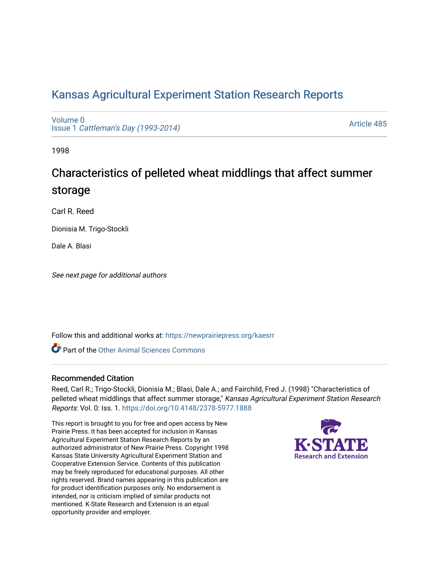## [Kansas Agricultural Experiment Station Research Reports](https://newprairiepress.org/kaesrr)

[Volume 0](https://newprairiepress.org/kaesrr/vol0) Issue 1 [Cattleman's Day \(1993-2014\)](https://newprairiepress.org/kaesrr/vol0/iss1) 

[Article 485](https://newprairiepress.org/kaesrr/vol0/iss1/485) 

1998

# Characteristics of pelleted wheat middlings that affect summer storage

Carl R. Reed

Dionisia M. Trigo-Stockli

Dale A. Blasi

See next page for additional authors

Follow this and additional works at: [https://newprairiepress.org/kaesrr](https://newprairiepress.org/kaesrr?utm_source=newprairiepress.org%2Fkaesrr%2Fvol0%2Fiss1%2F485&utm_medium=PDF&utm_campaign=PDFCoverPages) 

**C** Part of the [Other Animal Sciences Commons](http://network.bepress.com/hgg/discipline/82?utm_source=newprairiepress.org%2Fkaesrr%2Fvol0%2Fiss1%2F485&utm_medium=PDF&utm_campaign=PDFCoverPages)

#### Recommended Citation

Reed, Carl R.; Trigo-Stockli, Dionisia M.; Blasi, Dale A.; and Fairchild, Fred J. (1998) "Characteristics of pelleted wheat middlings that affect summer storage," Kansas Agricultural Experiment Station Research Reports: Vol. 0: Iss. 1.<https://doi.org/10.4148/2378-5977.1888>

This report is brought to you for free and open access by New Prairie Press. It has been accepted for inclusion in Kansas Agricultural Experiment Station Research Reports by an authorized administrator of New Prairie Press. Copyright 1998 Kansas State University Agricultural Experiment Station and Cooperative Extension Service. Contents of this publication may be freely reproduced for educational purposes. All other rights reserved. Brand names appearing in this publication are for product identification purposes only. No endorsement is intended, nor is criticism implied of similar products not mentioned. K-State Research and Extension is an equal opportunity provider and employer.

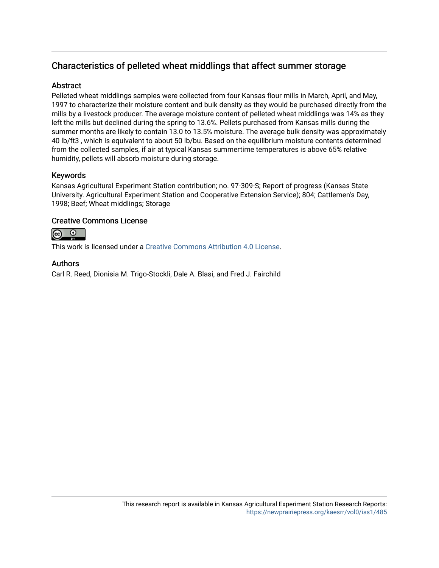### Characteristics of pelleted wheat middlings that affect summer storage

#### **Abstract**

Pelleted wheat middlings samples were collected from four Kansas flour mills in March, April, and May, 1997 to characterize their moisture content and bulk density as they would be purchased directly from the mills by a livestock producer. The average moisture content of pelleted wheat middlings was 14% as they left the mills but declined during the spring to 13.6%. Pellets purchased from Kansas mills during the summer months are likely to contain 13.0 to 13.5% moisture. The average bulk density was approximately 40 lb/ft3 , which is equivalent to about 50 lb/bu. Based on the equilibrium moisture contents determined from the collected samples, if air at typical Kansas summertime temperatures is above 65% relative humidity, pellets will absorb moisture during storage.

#### Keywords

Kansas Agricultural Experiment Station contribution; no. 97-309-S; Report of progress (Kansas State University. Agricultural Experiment Station and Cooperative Extension Service); 804; Cattlemen's Day, 1998; Beef; Wheat middlings; Storage

#### Creative Commons License



This work is licensed under a [Creative Commons Attribution 4.0 License](https://creativecommons.org/licenses/by/4.0/).

#### Authors

Carl R. Reed, Dionisia M. Trigo-Stockli, Dale A. Blasi, and Fred J. Fairchild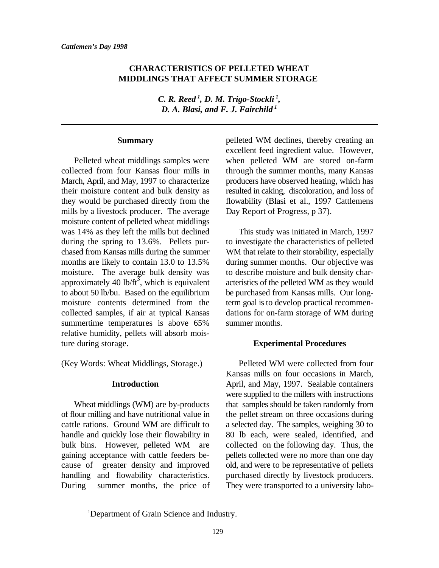#### **CHARACTERISTICS OF PELLETED WHEAT MIDDLINGS THAT AFFECT SUMMER STORAGE**

*C. R. Reed , D. M. Trigo-Stockli , <sup>1</sup> <sup>1</sup> D. A. Blasi, and F. J. Fairchild <sup>1</sup>*

#### **Summary**

collected from four Kansas flour mills in through the summer months, many Kansas March, April, and May, 1997 to characterize producers have observed heating, which has their moisture content and bulk density as resulted in caking, discoloration, and loss of they would be purchased directly from the flowability (Blasi et al., 1997 Cattlemens mills by a livestock producer. The average Day Report of Progress, p 37). moisture content of pelleted wheat middlings was 14% as they left the mills but declined This study was initiated in March, 1997 during the spring to 13.6%. Pellets pur-<br>to investigate the characteristics of pelleted chased from Kansas mills during the summer WM that relate to their storability, especially months are likely to contain 13.0 to 13.5% during summer months. Our objective was moisture. The average bulk density was to describe moisture and bulk density charapproximately 40 lb/ft<sup>3</sup>, which is equivalent acteristics of the pelleted WM as they would to about 50 lb/bu. Based on the equilibrium be purchased from Kansas mills. Our longmoisture contents determined from the term goal is to develop practical recommencollected samples, if air at typical Kansas dations for on-farm storage of WM during summertime temperatures is above 65% summer months. relative humidity, pellets will absorb moisture during storage.

#### **Introduction**

of flour milling and have nutritional value in the pellet stream on three occasions during cattle rations. Ground WM are difficult to a selected day. The samples, weighing 30 to handle and quickly lose their flowability in 80 lb each, were sealed, identified, and bulk bins. However, pelleted WM are collected on the following day. Thus, the gaining acceptance with cattle feeders be- pellets collected were no more than one day cause of greater density and improved old, and were to be representative of pellets handling and flowability characteristics. purchased directly by livestock producers. During summer months, the price of They were transported to a university labo-

Pelleted wheat middlings samples were when pelleted WM are stored on-farm pelleted WM declines, thereby creating an excellent feed ingredient value. However,

#### **Experimental Procedures**

(Key Words: Wheat Middlings, Storage.) Pelleted WM were collected from four Wheat middlings (WM) are by-products that samples should be taken randomly from Kansas mills on four occasions in March, April, and May, 1997. Sealable containers were supplied to the millers with instructions

<sup>&</sup>lt;sup>1</sup>Department of Grain Science and Industry.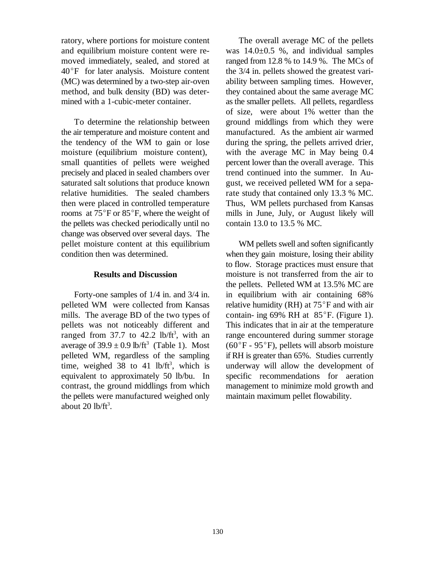ratory, where portions for moisture content The overall average MC of the pellets and equilibrium moisture content were re- was  $14.0\pm0.5$  %, and individual samples moved immediately, sealed, and stored at ranged from 12.8 % to 14.9 %. The MCs of  $40^{\circ}$ F for later analysis. Moisture content the  $3/4$  in. pellets showed the greatest vari-(MC) was determined by a two-step air-oven ability between sampling times. However, method, and bulk density (BD) was deter-<br>they contained about the same average MC mined with a 1-cubic-meter container. as the smaller pellets. All pellets, regardless

the air temperature and moisture content and manufactured. As the ambient air warmed the tendency of the WM to gain or lose during the spring, the pellets arrived drier, moisture (equilibrium moisture content), with the average MC in May being 0.4 small quantities of pellets were weighed percent lower than the overall average. This precisely and placed in sealed chambers over trend continued into the summer. In Ausaturated salt solutions that produce known gust, we received pelleted WM for a separelative humidities. The sealed chambers rate study that contained only 13.3 % MC. then were placed in controlled temperature Thus, WM pellets purchased from Kansas rooms at  $75^{\circ}$ F or  $85^{\circ}$ F, where the weight of mills in June, July, or August likely will the pellets was checked periodically until no contain 13.0 to 13.5 % MC. change was observed over several days. The pellet moisture content at this equilibrium<br>
WM pellets swell and soften significantly<br>
condition then was determined<br>
when they gain moisture. Iosing their ability

#### **Results and Discussion**

pelleted WM were collected from Kansas relative humidity (RH) at  $75^{\circ}$ F and with air mills. The average BD of the two types of contain- ing 69% RH at  $85^{\circ}$ F. (Figure 1). pellets was not noticeably different and This indicates that in air at the temperature ranged from 37.7 to 42.2 lb/ft<sup>3</sup>, with an range encountered during summer storage average of  $39.9 \pm 0.9$  lb/ft<sup>3</sup> (Table 1). Most (60°F - 95°F), pellets will absorb moisture pelleted WM, regardless of the sampling if RH is greater than 65%. Studies currently time, weighed 38 to 41 lb/ft<sup>3</sup>, which is underway will allow the development of equivalent to approximately 50 lb/bu. In specific recommendations for aeration contrast, the ground middlings from which management to minimize mold growth and the pellets were manufactured weighed only maintain maximum pellet flowability. about 20  $lb/ft^3$ .

To determine the relationship between ground middlings from which they were of size, were about 1% wetter than the

when they gain moisture, losing their ability Forty-one samples of  $1/4$  in. and  $3/4$  in. in equilibrium with air containing 68% to flow. Storage practices must ensure that moisture is not transferred from the air to the pellets. Pelleted WM at 13.5% MC are